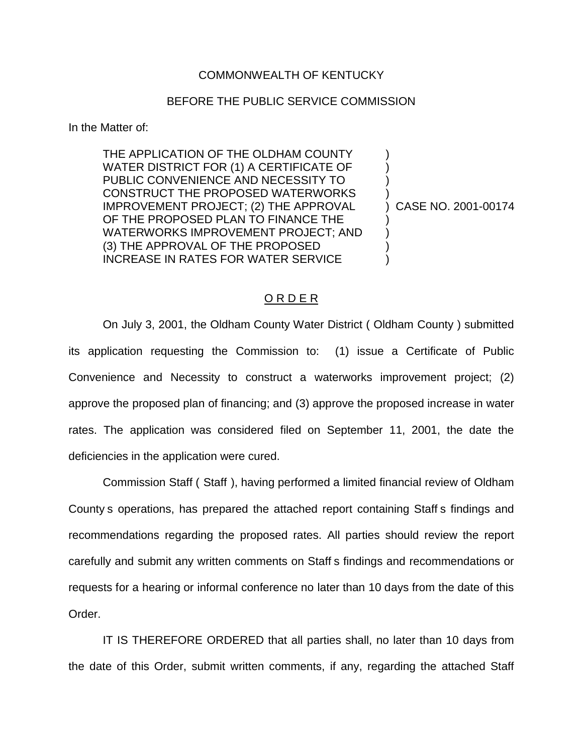#### COMMONWEALTH OF KENTUCKY

#### BEFORE THE PUBLIC SERVICE COMMISSION

In the Matter of:

THE APPLICATION OF THE OLDHAM COUNTY WATER DISTRICT FOR (1) A CERTIFICATE OF PUBLIC CONVENIENCE AND NECESSITY TO CONSTRUCT THE PROPOSED WATERWORKS IMPROVEMENT PROJECT; (2) THE APPROVAL OF THE PROPOSED PLAN TO FINANCE THE WATERWORKS IMPROVEMENT PROJECT; AND (3) THE APPROVAL OF THE PROPOSED INCREASE IN RATES FOR WATER SERVICE

) CASE NO. 2001-00174

) ) ) )

) ) ) )

#### O R D E R

On July 3, 2001, the Oldham County Water District ( Oldham County ) submitted its application requesting the Commission to: (1) issue a Certificate of Public Convenience and Necessity to construct a waterworks improvement project; (2) approve the proposed plan of financing; and (3) approve the proposed increase in water rates. The application was considered filed on September 11, 2001, the date the deficiencies in the application were cured.

Commission Staff ( Staff ), having performed a limited financial review of Oldham County s operations, has prepared the attached report containing Staff s findings and recommendations regarding the proposed rates. All parties should review the report carefully and submit any written comments on Staff s findings and recommendations or requests for a hearing or informal conference no later than 10 days from the date of this Order.

IT IS THEREFORE ORDERED that all parties shall, no later than 10 days from the date of this Order, submit written comments, if any, regarding the attached Staff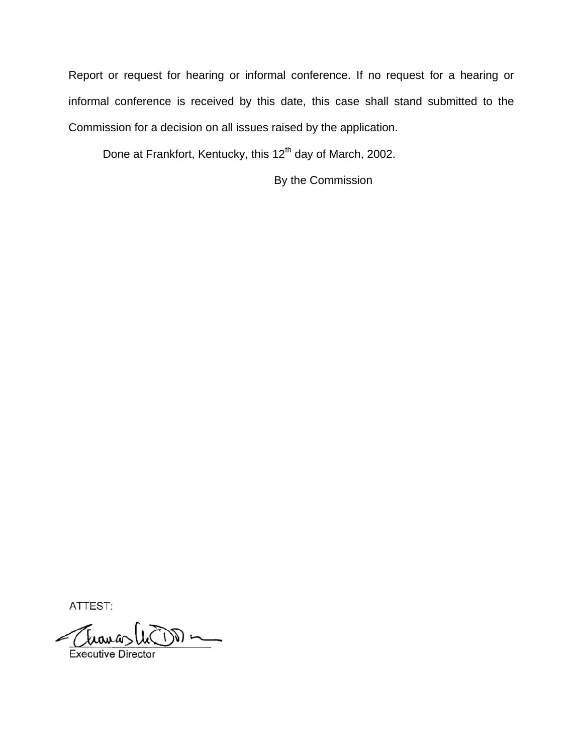Report or request for hearing or informal conference. If no request for a hearing or informal conference is received by this date, this case shall stand submitted to the Commission for a decision on all issues raised by the application.

Done at Frankfort, Kentucky, this 12<sup>th</sup> day of March, 2002.

By the Commission

ATTEST:

Travas (n DD)

**Executive Director**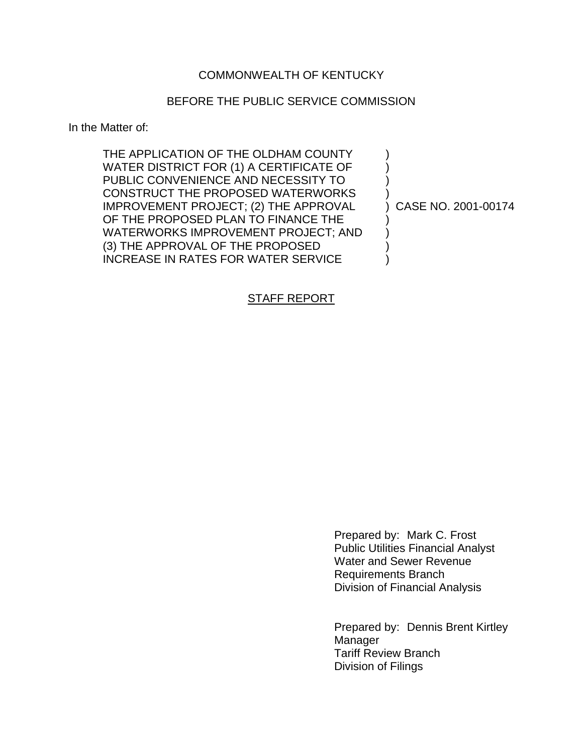## COMMONWEALTH OF KENTUCKY

## BEFORE THE PUBLIC SERVICE COMMISSION

In the Matter of:

| THE APPLICATION OF THE OLDHAM COUNTY       |                     |
|--------------------------------------------|---------------------|
| WATER DISTRICT FOR (1) A CERTIFICATE OF    |                     |
| PUBLIC CONVENIENCE AND NECESSITY TO        |                     |
| <b>CONSTRUCT THE PROPOSED WATERWORKS</b>   |                     |
| IMPROVEMENT PROJECT; (2) THE APPROVAL      | CASE NO. 2001-00174 |
| OF THE PROPOSED PLAN TO FINANCE THE        |                     |
| WATERWORKS IMPROVEMENT PROJECT; AND        |                     |
| (3) THE APPROVAL OF THE PROPOSED           |                     |
| <b>INCREASE IN RATES FOR WATER SERVICE</b> |                     |

## STAFF REPORT

Prepared by: Mark C. Frost Public Utilities Financial Analyst Water and Sewer Revenue Requirements Branch Division of Financial Analysis

Prepared by: Dennis Brent Kirtley **Manager** Tariff Review Branch Division of Filings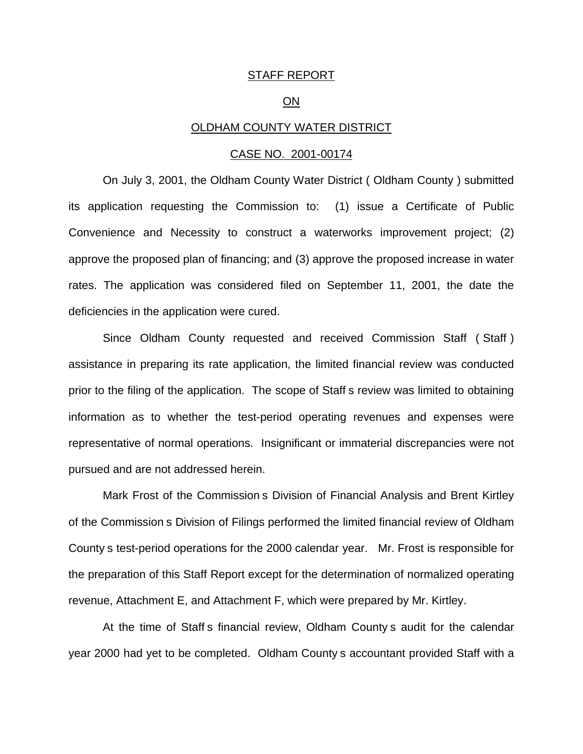#### STAFF REPORT

#### ON

#### OLDHAM COUNTY WATER DISTRICT

#### CASE NO. 2001-00174

On July 3, 2001, the Oldham County Water District ( Oldham County ) submitted its application requesting the Commission to: (1) issue a Certificate of Public Convenience and Necessity to construct a waterworks improvement project; (2) approve the proposed plan of financing; and (3) approve the proposed increase in water rates. The application was considered filed on September 11, 2001, the date the deficiencies in the application were cured.

Since Oldham County requested and received Commission Staff ( Staff ) assistance in preparing its rate application, the limited financial review was conducted prior to the filing of the application. The scope of Staff s review was limited to obtaining information as to whether the test-period operating revenues and expenses were representative of normal operations. Insignificant or immaterial discrepancies were not pursued and are not addressed herein.

Mark Frost of the Commission s Division of Financial Analysis and Brent Kirtley of the Commission s Division of Filings performed the limited financial review of Oldham County s test-period operations for the 2000 calendar year. Mr. Frost is responsible for the preparation of this Staff Report except for the determination of normalized operating revenue, Attachment E, and Attachment F, which were prepared by Mr. Kirtley.

At the time of Staff s financial review, Oldham County s audit for the calendar year 2000 had yet to be completed. Oldham County s accountant provided Staff with a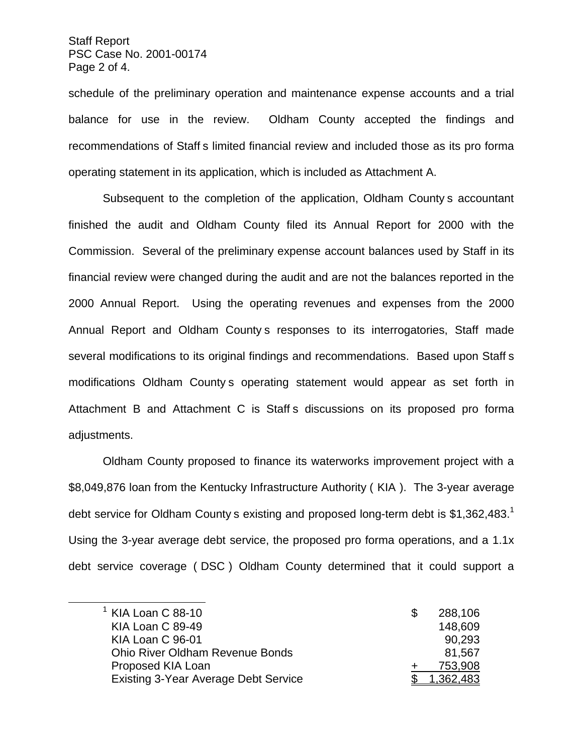Staff Report PSC Case No. 2001-00174 Page 2 of 4.

schedule of the preliminary operation and maintenance expense accounts and a trial balance for use in the review. Oldham County accepted the findings and recommendations of Staff s limited financial review and included those as its pro forma operating statement in its application, which is included as Attachment A.

Subsequent to the completion of the application, Oldham County s accountant finished the audit and Oldham County filed its Annual Report for 2000 with the Commission. Several of the preliminary expense account balances used by Staff in its financial review were changed during the audit and are not the balances reported in the 2000 Annual Report. Using the operating revenues and expenses from the 2000 Annual Report and Oldham County s responses to its interrogatories, Staff made several modifications to its original findings and recommendations. Based upon Staff s modifications Oldham County s operating statement would appear as set forth in Attachment B and Attachment C is Staff s discussions on its proposed pro forma adjustments.

Oldham County proposed to finance its waterworks improvement project with a \$8,049,876 loan from the Kentucky Infrastructure Authority ( KIA ). The 3-year average debt service for Oldham County s existing and proposed long-term debt is  $$1,362,483$ .<sup>1</sup> Using the 3-year average debt service, the proposed pro forma operations, and a 1.1x debt service coverage ( DSC ) Oldham County determined that it could support a

| $1$ KIA Loan C 88-10                        | 288,106   |
|---------------------------------------------|-----------|
| KIA Loan C 89-49                            | 148,609   |
| KIA Loan C 96-01                            | 90,293    |
| <b>Ohio River Oldham Revenue Bonds</b>      | 81,567    |
| Proposed KIA Loan                           | 753,908   |
| <b>Existing 3-Year Average Debt Service</b> | 1.362.483 |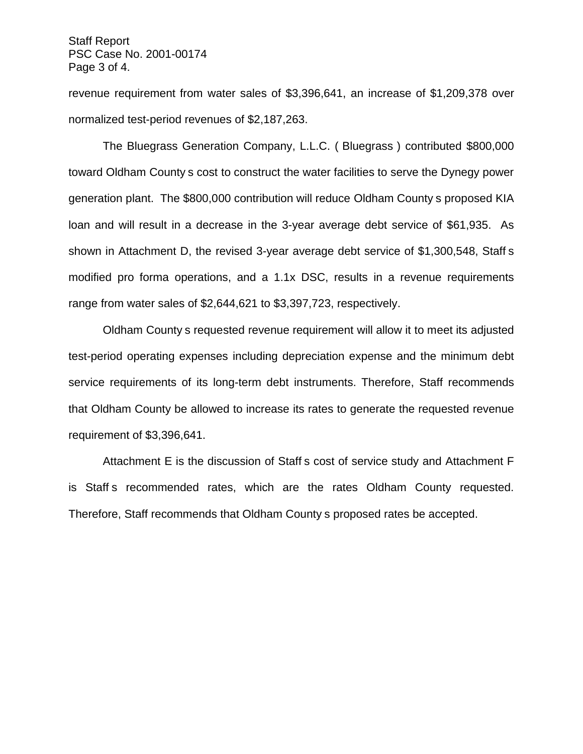Staff Report PSC Case No. 2001-00174 Page 3 of 4.

revenue requirement from water sales of \$3,396,641, an increase of \$1,209,378 over normalized test-period revenues of \$2,187,263.

The Bluegrass Generation Company, L.L.C. ( Bluegrass ) contributed \$800,000 toward Oldham County s cost to construct the water facilities to serve the Dynegy power generation plant. The \$800,000 contribution will reduce Oldham County s proposed KIA loan and will result in a decrease in the 3-year average debt service of \$61,935. As shown in Attachment D, the revised 3-year average debt service of \$1,300,548, Staff s modified pro forma operations, and a 1.1x DSC, results in a revenue requirements range from water sales of \$2,644,621 to \$3,397,723, respectively.

Oldham County s requested revenue requirement will allow it to meet its adjusted test-period operating expenses including depreciation expense and the minimum debt service requirements of its long-term debt instruments. Therefore, Staff recommends that Oldham County be allowed to increase its rates to generate the requested revenue requirement of \$3,396,641.

Attachment E is the discussion of Staff s cost of service study and Attachment F is Staff s recommended rates, which are the rates Oldham County requested. Therefore, Staff recommends that Oldham County s proposed rates be accepted.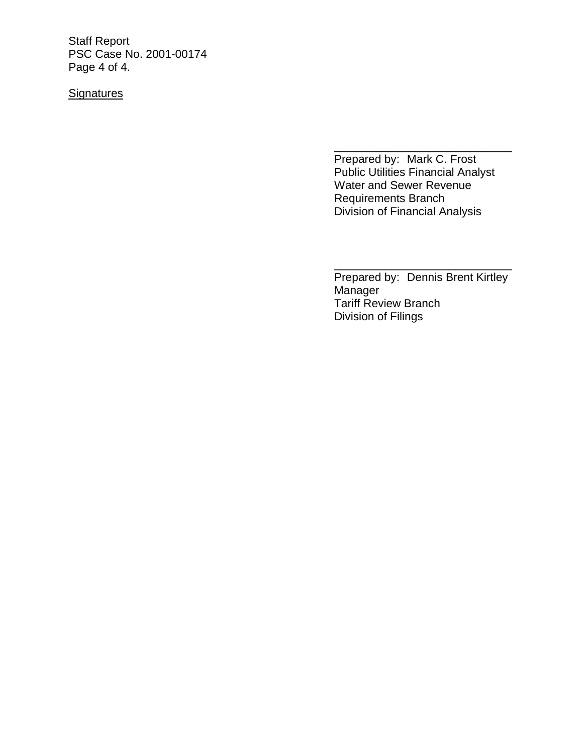Staff Report PSC Case No. 2001-00174 Page 4 of 4.

# **Signatures**

Prepared by: Mark C. Frost Public Utilities Financial Analyst Water and Sewer Revenue Requirements Branch Division of Financial Analysis

\_\_\_\_\_\_\_\_\_\_\_\_\_\_\_\_\_\_\_\_\_\_\_\_\_\_\_\_

Prepared by: Dennis Brent Kirtley Manager Tariff Review Branch Division of Filings

\_\_\_\_\_\_\_\_\_\_\_\_\_\_\_\_\_\_\_\_\_\_\_\_\_\_\_\_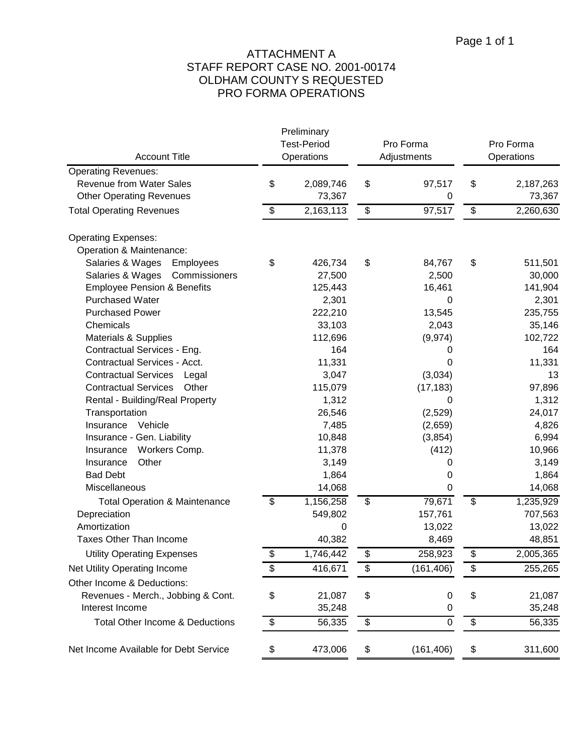# ATTACHMENT A STAFF REPORT CASE NO. 2001-00174 OLDHAM COUNTY S REQUESTED PRO FORMA OPERATIONS

|                                            | Preliminary<br><b>Test-Period</b> |             | Pro Forma  | Pro Forma |            |  |
|--------------------------------------------|-----------------------------------|-------------|------------|-----------|------------|--|
| <b>Account Title</b>                       | Operations                        | Adjustments |            |           | Operations |  |
| <b>Operating Revenues:</b>                 |                                   |             |            |           |            |  |
| <b>Revenue from Water Sales</b>            | \$<br>2,089,746                   | \$          | 97,517     | \$        | 2,187,263  |  |
| <b>Other Operating Revenues</b>            | 73,367                            |             | 0          |           | 73,367     |  |
| <b>Total Operating Revenues</b>            | \$<br>2,163,113                   | \$          | 97,517     | \$        | 2,260,630  |  |
| <b>Operating Expenses:</b>                 |                                   |             |            |           |            |  |
| Operation & Maintenance:                   |                                   |             |            |           |            |  |
| Salaries & Wages<br>Employees              | \$<br>426,734                     | \$          | 84,767     | \$        | 511,501    |  |
| Salaries & Wages<br>Commissioners          | 27,500                            |             | 2,500      |           | 30,000     |  |
| <b>Employee Pension &amp; Benefits</b>     | 125,443                           |             | 16,461     |           | 141,904    |  |
| <b>Purchased Water</b>                     | 2,301                             |             | 0          |           | 2,301      |  |
| <b>Purchased Power</b>                     | 222,210                           |             | 13,545     |           | 235,755    |  |
| Chemicals                                  | 33,103                            |             | 2,043      |           | 35,146     |  |
| Materials & Supplies                       | 112,696                           |             | (9, 974)   |           | 102,722    |  |
| Contractual Services - Eng.                | 164                               |             | 0          |           | 164        |  |
| Contractual Services - Acct.               | 11,331                            |             | 0          |           | 11,331     |  |
| <b>Contractual Services</b><br>Legal       | 3,047                             |             | (3,034)    |           | 13         |  |
| <b>Contractual Services</b><br>Other       | 115,079                           |             | (17, 183)  |           | 97,896     |  |
| Rental - Building/Real Property            | 1,312                             |             | 0          |           | 1,312      |  |
| Transportation                             | 26,546                            |             | (2,529)    |           | 24,017     |  |
| Vehicle<br>Insurance                       | 7,485                             |             | (2,659)    |           | 4,826      |  |
| Insurance - Gen. Liability                 | 10,848                            |             | (3, 854)   |           | 6,994      |  |
| Workers Comp.<br>Insurance                 | 11,378                            |             | (412)      |           | 10,966     |  |
| Other<br>Insurance                         | 3,149                             |             | 0          |           | 3,149      |  |
| <b>Bad Debt</b>                            | 1,864                             |             | 0          |           | 1,864      |  |
| Miscellaneous                              | 14,068                            |             | 0          |           | 14,068     |  |
| <b>Total Operation &amp; Maintenance</b>   | \$<br>1,156,258                   | \$          | 79,671     | \$        | 1,235,929  |  |
| Depreciation                               | 549,802                           |             | 157,761    |           | 707,563    |  |
| Amortization                               | 0                                 |             | 13,022     |           | 13,022     |  |
| <b>Taxes Other Than Income</b>             | 40,382                            |             | 8,469      |           | 48,851     |  |
| <b>Utility Operating Expenses</b>          | \$<br>1,746,442                   | \$          | 258,923    | \$        | 2,005,365  |  |
| Net Utility Operating Income               | \$<br>416,671                     | \$          | (161, 406) | \$        | 255,265    |  |
| Other Income & Deductions:                 |                                   |             |            |           |            |  |
| Revenues - Merch., Jobbing & Cont.         | \$<br>21,087                      | \$          | 0          | \$        | 21,087     |  |
| Interest Income                            | 35,248                            |             | 0          |           | 35,248     |  |
| <b>Total Other Income &amp; Deductions</b> | \$<br>56,335                      | \$          | $\pmb{0}$  | \$        | 56,335     |  |
| Net Income Available for Debt Service      | \$<br>473,006                     | \$          | (161, 406) | \$        | 311,600    |  |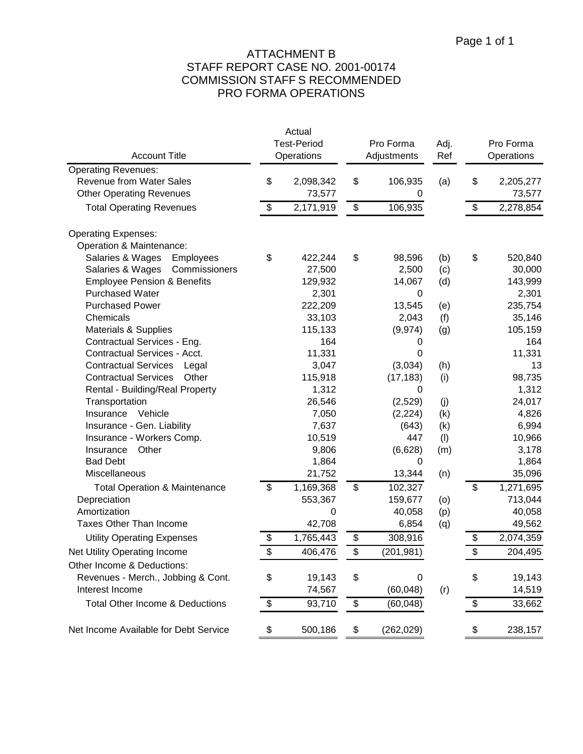# ATTACHMENT B STAFF REPORT CASE NO. 2001-00174 COMMISSION STAFF S RECOMMENDED PRO FORMA OPERATIONS

| <b>Account Title</b>                       | Actual<br><b>Test-Period</b> |             | Pro Forma<br>Adjustments<br>Operations |            |     | Pro Forma<br>Operations |           |
|--------------------------------------------|------------------------------|-------------|----------------------------------------|------------|-----|-------------------------|-----------|
| <b>Operating Revenues:</b>                 |                              |             |                                        |            | Ref |                         |           |
| <b>Revenue from Water Sales</b>            | \$                           | 2,098,342   | \$                                     | 106,935    | (a) | \$                      | 2,205,277 |
| <b>Other Operating Revenues</b>            |                              | 73,577      |                                        | 0          |     |                         | 73,577    |
| <b>Total Operating Revenues</b>            | \$                           | 2,171,919   | \$                                     | 106,935    |     | \$                      | 2,278,854 |
| <b>Operating Expenses:</b>                 |                              |             |                                        |            |     |                         |           |
| Operation & Maintenance:                   |                              |             |                                        |            |     |                         |           |
| Salaries & Wages<br>Employees              | \$                           | 422,244     | \$                                     | 98,596     | (b) | \$                      | 520,840   |
| Commissioners<br>Salaries & Wages          |                              | 27,500      |                                        | 2,500      | (c) |                         | 30,000    |
| <b>Employee Pension &amp; Benefits</b>     |                              | 129,932     |                                        | 14,067     | (d) |                         | 143,999   |
| <b>Purchased Water</b>                     |                              | 2,301       |                                        | 0          |     |                         | 2,301     |
| <b>Purchased Power</b>                     |                              | 222,209     |                                        | 13,545     | (e) |                         | 235,754   |
| Chemicals                                  |                              | 33,103      |                                        | 2,043      | (f) |                         | 35,146    |
| <b>Materials &amp; Supplies</b>            |                              | 115,133     |                                        | (9,974)    | (g) |                         | 105,159   |
| Contractual Services - Eng.                |                              | 164         |                                        | 0          |     |                         | 164       |
| Contractual Services - Acct.               |                              | 11,331      |                                        | 0          |     |                         | 11,331    |
| <b>Contractual Services</b><br>Legal       |                              | 3,047       |                                        | (3,034)    | (h) |                         | 13        |
| <b>Contractual Services</b><br>Other       |                              | 115,918     |                                        | (17, 183)  | (i) |                         | 98,735    |
| Rental - Building/Real Property            |                              | 1,312       |                                        | 0          |     |                         | 1,312     |
| Transportation                             |                              | 26,546      |                                        | (2,529)    | (j) |                         | 24,017    |
| Insurance<br>Vehicle                       |                              | 7,050       |                                        | (2, 224)   | (k) |                         | 4,826     |
| Insurance - Gen. Liability                 |                              | 7,637       |                                        | (643)      | (k) |                         | 6,994     |
| Insurance - Workers Comp.                  |                              | 10,519      |                                        | 447        | (1) |                         | 10,966    |
| Other<br>Insurance                         |                              | 9,806       |                                        | (6,628)    | (m) |                         | 3,178     |
| <b>Bad Debt</b>                            |                              | 1,864       |                                        | 0          |     |                         | 1,864     |
| Miscellaneous                              |                              | 21,752      |                                        | 13,344     | (n) |                         | 35,096    |
| <b>Total Operation &amp; Maintenance</b>   | \$                           | 1,169,368   | \$                                     | 102,327    |     | \$                      | 1,271,695 |
| Depreciation                               |                              | 553,367     |                                        | 159,677    | (0) |                         | 713,044   |
| Amortization                               |                              | $\mathbf 0$ |                                        | 40,058     | (p) |                         | 40,058    |
| <b>Taxes Other Than Income</b>             |                              | 42,708      |                                        | 6,854      | (q) |                         | 49,562    |
| <b>Utility Operating Expenses</b>          | \$                           | 1,765,443   | \$                                     | 308,916    |     | \$                      | 2,074,359 |
| Net Utility Operating Income               | \$                           | 406,476     | \$                                     | (201, 981) |     | \$                      | 204,495   |
| Other Income & Deductions:                 |                              |             |                                        |            |     |                         |           |
| Revenues - Merch., Jobbing & Cont.         | \$                           | 19,143      | \$                                     | 0          |     | \$                      | 19,143    |
| Interest Income                            |                              | 74,567      |                                        | (60,048)   | (r) |                         | 14,519    |
| <b>Total Other Income &amp; Deductions</b> | \$                           | 93,710      | \$                                     | (60, 048)  |     | \$                      | 33,662    |
| Net Income Available for Debt Service      | \$                           | 500,186     | \$                                     | (262, 029) |     | \$                      | 238,157   |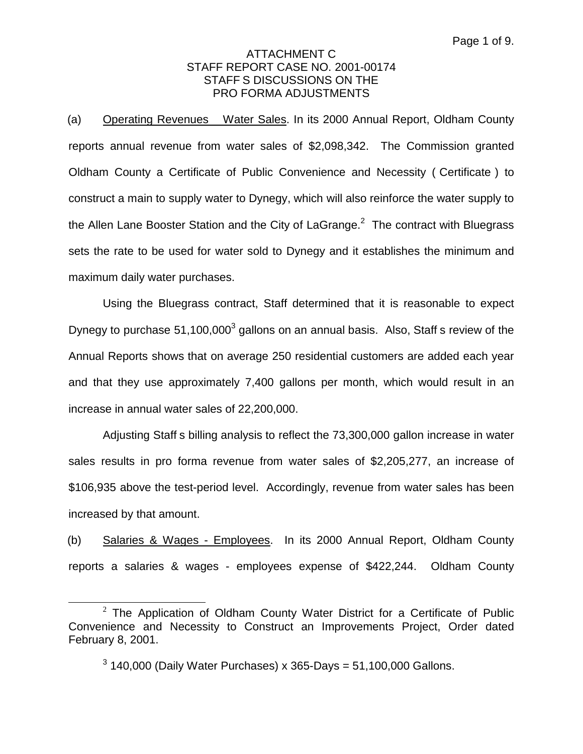(a) Operating Revenues Water Sales. In its 2000 Annual Report, Oldham County reports annual revenue from water sales of \$2,098,342. The Commission granted Oldham County a Certificate of Public Convenience and Necessity ( Certificate ) to construct a main to supply water to Dynegy, which will also reinforce the water supply to the Allen Lane Booster Station and the City of LaGrange. $<sup>2</sup>$  The contract with Bluegrass</sup> sets the rate to be used for water sold to Dynegy and it establishes the minimum and maximum daily water purchases.

Using the Bluegrass contract, Staff determined that it is reasonable to expect Dynegy to purchase  $51,100,000^3$  gallons on an annual basis. Also, Staff s review of the Annual Reports shows that on average 250 residential customers are added each year and that they use approximately 7,400 gallons per month, which would result in an increase in annual water sales of 22,200,000.

Adjusting Staff s billing analysis to reflect the 73,300,000 gallon increase in water sales results in pro forma revenue from water sales of \$2,205,277, an increase of \$106,935 above the test-period level. Accordingly, revenue from water sales has been increased by that amount.

(b) Salaries & Wages - Employees. In its 2000 Annual Report, Oldham County reports a salaries & wages - employees expense of \$422,244. Oldham County

 $2$  The Application of Oldham County Water District for a Certificate of Public Convenience and Necessity to Construct an Improvements Project, Order dated February 8, 2001.

 $3$  140,000 (Daily Water Purchases) x 365-Days = 51,100,000 Gallons.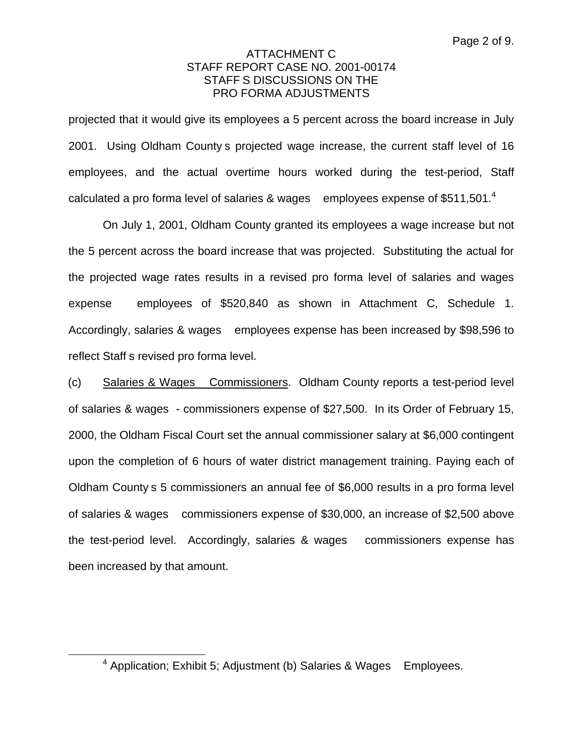projected that it would give its employees a 5 percent across the board increase in July 2001. Using Oldham County s projected wage increase, the current staff level of 16 employees, and the actual overtime hours worked during the test-period, Staff calculated a pro forma level of salaries & wages employees expense of \$511,501. $^4$ 

On July 1, 2001, Oldham County granted its employees a wage increase but not the 5 percent across the board increase that was projected. Substituting the actual for the projected wage rates results in a revised pro forma level of salaries and wages expense employees of \$520,840 as shown in Attachment C, Schedule 1. Accordingly, salaries & wages employees expense has been increased by \$98,596 to reflect Staff s revised pro forma level.

(c) Salaries & Wages Commissioners. Oldham County reports a test-period level of salaries & wages - commissioners expense of \$27,500. In its Order of February 15, 2000, the Oldham Fiscal Court set the annual commissioner salary at \$6,000 contingent upon the completion of 6 hours of water district management training. Paying each of Oldham County s 5 commissioners an annual fee of \$6,000 results in a pro forma level of salaries & wages commissioners expense of \$30,000, an increase of \$2,500 above the test-period level. Accordingly, salaries & wages commissioners expense has been increased by that amount.

 $4$  Application; Exhibit 5; Adjustment (b) Salaries & Wages Employees.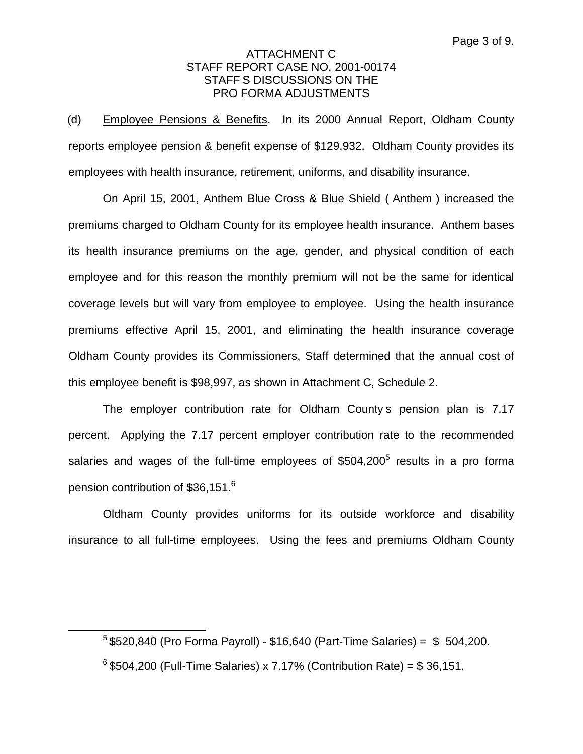(d) Employee Pensions & Benefits. In its 2000 Annual Report, Oldham County reports employee pension & benefit expense of \$129,932. Oldham County provides its employees with health insurance, retirement, uniforms, and disability insurance.

On April 15, 2001, Anthem Blue Cross & Blue Shield ( Anthem ) increased the premiums charged to Oldham County for its employee health insurance. Anthem bases its health insurance premiums on the age, gender, and physical condition of each employee and for this reason the monthly premium will not be the same for identical coverage levels but will vary from employee to employee. Using the health insurance premiums effective April 15, 2001, and eliminating the health insurance coverage Oldham County provides its Commissioners, Staff determined that the annual cost of this employee benefit is \$98,997, as shown in Attachment C, Schedule 2.

The employer contribution rate for Oldham County s pension plan is 7.17 percent. Applying the 7.17 percent employer contribution rate to the recommended salaries and wages of the full-time employees of  $$504,200<sup>5</sup>$  results in a pro forma pension contribution of \$36,151.6

Oldham County provides uniforms for its outside workforce and disability insurance to all full-time employees. Using the fees and premiums Oldham County

 $5$  \$520,840 (Pro Forma Payroll) - \$16,640 (Part-Time Salaries) = \$ 504,200.

 $6$  \$504,200 (Full-Time Salaries) x 7.17% (Contribution Rate) = \$ 36,151.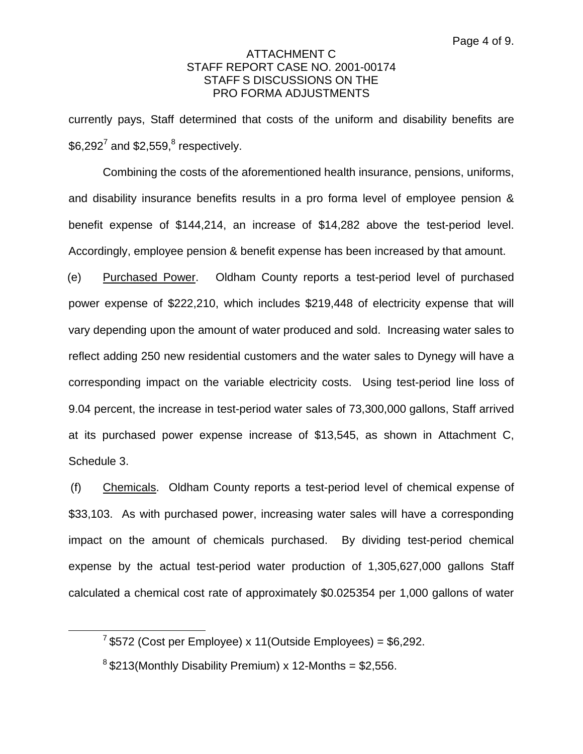currently pays, Staff determined that costs of the uniform and disability benefits are  $$6,292^7$  and  $$2,559$ , $$$  respectively.

Combining the costs of the aforementioned health insurance, pensions, uniforms, and disability insurance benefits results in a pro forma level of employee pension & benefit expense of \$144,214, an increase of \$14,282 above the test-period level. Accordingly, employee pension & benefit expense has been increased by that amount.

(e) Purchased Power. Oldham County reports a test-period level of purchased power expense of \$222,210, which includes \$219,448 of electricity expense that will vary depending upon the amount of water produced and sold. Increasing water sales to reflect adding 250 new residential customers and the water sales to Dynegy will have a corresponding impact on the variable electricity costs. Using test-period line loss of 9.04 percent, the increase in test-period water sales of 73,300,000 gallons, Staff arrived at its purchased power expense increase of \$13,545, as shown in Attachment C, Schedule 3.

(f) Chemicals. Oldham County reports a test-period level of chemical expense of \$33,103. As with purchased power, increasing water sales will have a corresponding impact on the amount of chemicals purchased. By dividing test-period chemical expense by the actual test-period water production of 1,305,627,000 gallons Staff calculated a chemical cost rate of approximately \$0.025354 per 1,000 gallons of water

 $7$  \$572 (Cost per Employee) x 11 (Outside Employees) = \$6,292.

 $8$ \$213(Monthly Disability Premium) x 12-Months = \$2,556.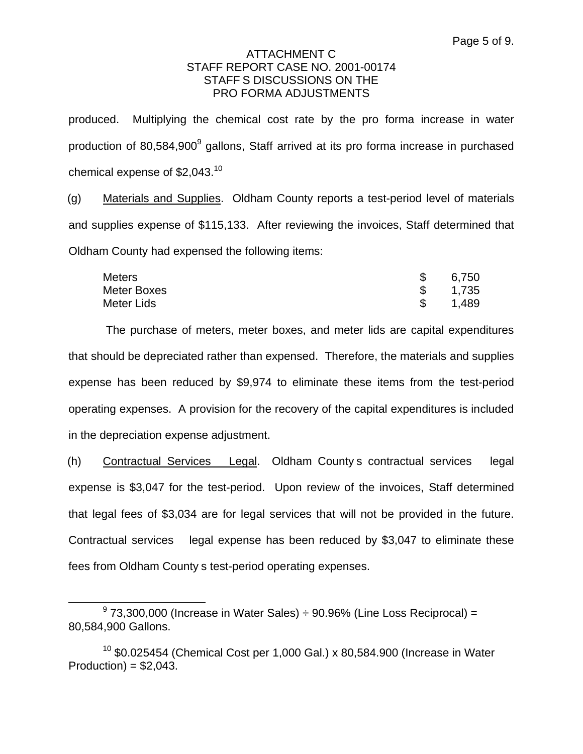produced. Multiplying the chemical cost rate by the pro forma increase in water production of 80,584,900<sup>9</sup> gallons, Staff arrived at its pro forma increase in purchased chemical expense of  $$2,043$ .<sup>10</sup>

(g) Materials and Supplies. Oldham County reports a test-period level of materials and supplies expense of \$115,133. After reviewing the invoices, Staff determined that Oldham County had expensed the following items:

| Meters      | 6,750 |
|-------------|-------|
| Meter Boxes | 1,735 |
| Meter Lids  | 1,489 |

The purchase of meters, meter boxes, and meter lids are capital expenditures that should be depreciated rather than expensed. Therefore, the materials and supplies expense has been reduced by \$9,974 to eliminate these items from the test-period operating expenses. A provision for the recovery of the capital expenditures is included in the depreciation expense adjustment.

(h) Contractual Services Legal. Oldham County s contractual services legal expense is \$3,047 for the test-period. Upon review of the invoices, Staff determined that legal fees of \$3,034 are for legal services that will not be provided in the future. Contractual services legal expense has been reduced by \$3,047 to eliminate these fees from Oldham County s test-period operating expenses.

 $9$  73.300.000 (Increase in Water Sales)  $\div$  90.96% (Line Loss Reciprocal) = 80,584,900 Gallons.

 $10$  \$0.025454 (Chemical Cost per 1,000 Gal.) x 80,584.900 (Increase in Water  $Production = $2.043$ .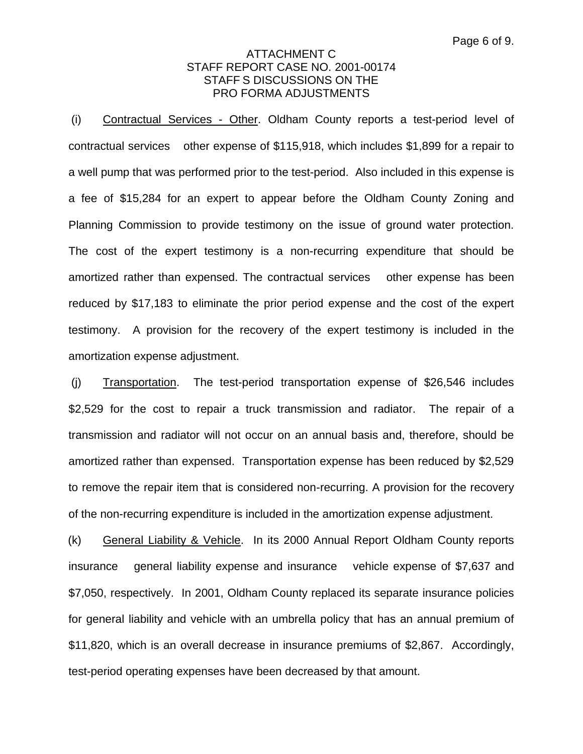(i) Contractual Services - Other. Oldham County reports a test-period level of contractual services other expense of \$115,918, which includes \$1,899 for a repair to a well pump that was performed prior to the test-period. Also included in this expense is a fee of \$15,284 for an expert to appear before the Oldham County Zoning and Planning Commission to provide testimony on the issue of ground water protection. The cost of the expert testimony is a non-recurring expenditure that should be amortized rather than expensed. The contractual services other expense has been reduced by \$17,183 to eliminate the prior period expense and the cost of the expert testimony. A provision for the recovery of the expert testimony is included in the amortization expense adjustment.

(j) Transportation. The test-period transportation expense of \$26,546 includes \$2,529 for the cost to repair a truck transmission and radiator. The repair of a transmission and radiator will not occur on an annual basis and, therefore, should be amortized rather than expensed. Transportation expense has been reduced by \$2,529 to remove the repair item that is considered non-recurring. A provision for the recovery of the non-recurring expenditure is included in the amortization expense adjustment.

(k) General Liability & Vehicle. In its 2000 Annual Report Oldham County reports insurance general liability expense and insurance vehicle expense of \$7,637 and \$7,050, respectively. In 2001, Oldham County replaced its separate insurance policies for general liability and vehicle with an umbrella policy that has an annual premium of \$11,820, which is an overall decrease in insurance premiums of \$2,867. Accordingly, test-period operating expenses have been decreased by that amount.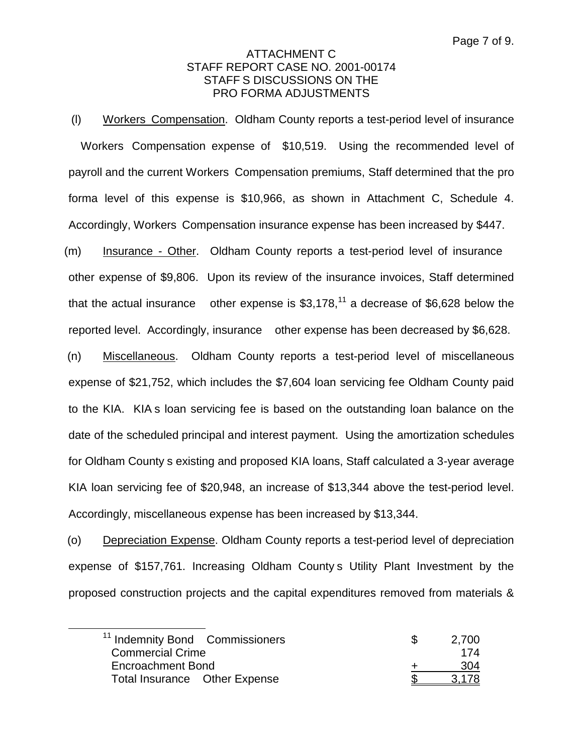(l) Workers Compensation. Oldham County reports a test-period level of insurance Workers Compensation expense of \$10,519. Using the recommended level of payroll and the current Workers Compensation premiums, Staff determined that the pro forma level of this expense is \$10,966, as shown in Attachment C, Schedule 4. Accordingly, Workers Compensation insurance expense has been increased by \$447.

(m) Insurance - Other. Oldham County reports a test-period level of insurance other expense of \$9,806. Upon its review of the insurance invoices, Staff determined that the actual insurance other expense is  $$3,178$ ,<sup>11</sup> a decrease of \$6,628 below the reported level. Accordingly, insurance other expense has been decreased by \$6,628.

(n) Miscellaneous. Oldham County reports a test-period level of miscellaneous expense of \$21,752, which includes the \$7,604 loan servicing fee Oldham County paid to the KIA. KIA s loan servicing fee is based on the outstanding loan balance on the date of the scheduled principal and interest payment. Using the amortization schedules for Oldham County s existing and proposed KIA loans, Staff calculated a 3-year average KIA loan servicing fee of \$20,948, an increase of \$13,344 above the test-period level. Accordingly, miscellaneous expense has been increased by \$13,344.

(o) Depreciation Expense. Oldham County reports a test-period level of depreciation expense of \$157,761. Increasing Oldham County s Utility Plant Investment by the proposed construction projects and the capital expenditures removed from materials &

| <sup>11</sup> Indemnity Bond Commissioners | 2,700 |
|--------------------------------------------|-------|
| <b>Commercial Crime</b>                    | 174   |
| Encroachment Bond                          | 304   |
| Total Insurance Other Expense              | 3 178 |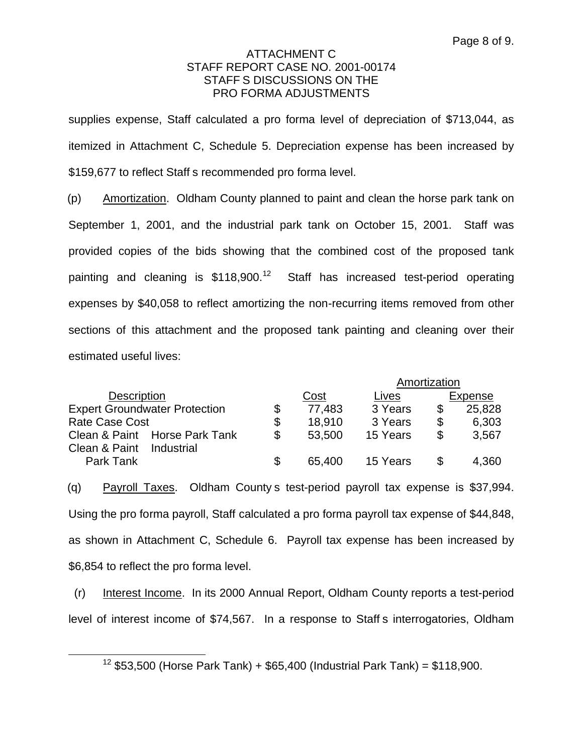supplies expense, Staff calculated a pro forma level of depreciation of \$713,044, as itemized in Attachment C, Schedule 5. Depreciation expense has been increased by \$159,677 to reflect Staff s recommended pro forma level.

(p) Amortization. Oldham County planned to paint and clean the horse park tank on September 1, 2001, and the industrial park tank on October 15, 2001. Staff was provided copies of the bids showing that the combined cost of the proposed tank painting and cleaning is  $$118,900.<sup>12</sup>$  Staff has increased test-period operating expenses by \$40,058 to reflect amortizing the non-recurring items removed from other sections of this attachment and the proposed tank painting and cleaning over their estimated useful lives:

|                                      |                | Amortization |          |    |         |  |
|--------------------------------------|----------------|--------------|----------|----|---------|--|
| <b>Description</b>                   |                | Cost         | Lives    |    | Expense |  |
| <b>Expert Groundwater Protection</b> | \$             | 77,483       | 3 Years  | S  | 25,828  |  |
| <b>Rate Case Cost</b>                | \$             | 18,910       | 3 Years  | \$ | 6,303   |  |
| Clean & Paint Horse Park Tank        | $\mathfrak{L}$ | 53,500       | 15 Years | \$ | 3,567   |  |
| Clean & Paint<br>Industrial          |                |              |          |    |         |  |
| Park Tank                            | \$             | 65,400       | 15 Years | S  | 4,360   |  |

(q) Payroll Taxes. Oldham County s test-period payroll tax expense is \$37,994. Using the pro forma payroll, Staff calculated a pro forma payroll tax expense of \$44,848, as shown in Attachment C, Schedule 6. Payroll tax expense has been increased by \$6,854 to reflect the pro forma level.

(r) Interest Income. In its 2000 Annual Report, Oldham County reports a test-period level of interest income of \$74,567. In a response to Staff s interrogatories, Oldham

<sup>&</sup>lt;sup>12</sup> \$53,500 (Horse Park Tank) + \$65,400 (Industrial Park Tank) = \$118,900.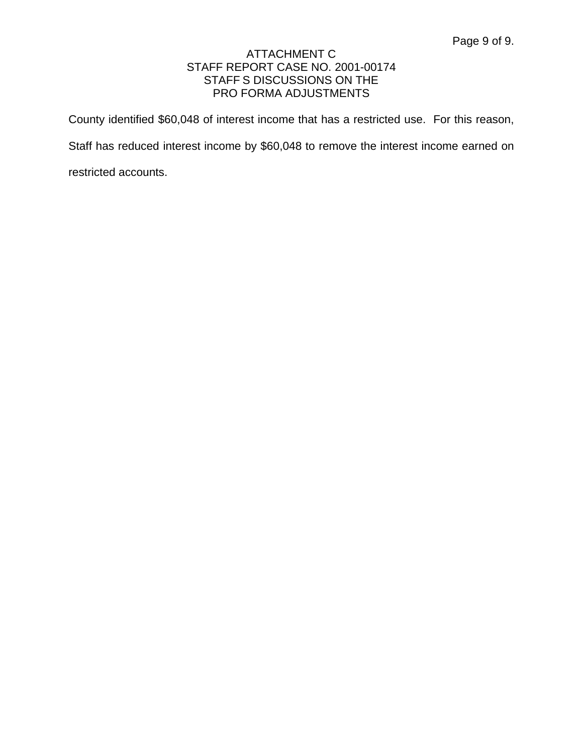County identified \$60,048 of interest income that has a restricted use. For this reason,

Staff has reduced interest income by \$60,048 to remove the interest income earned on

restricted accounts.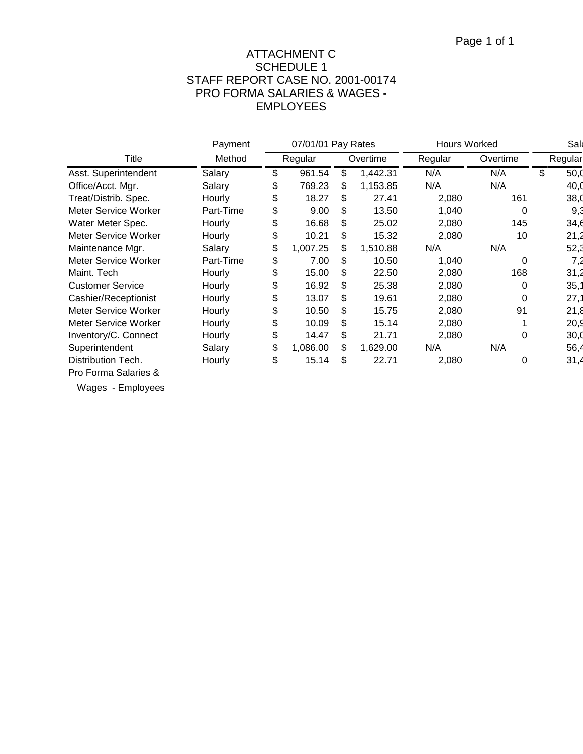# ATTACHMENT C SCHEDULE 1 STAFF REPORT CASE NO. 2001-00174 PRO FORMA SALARIES & WAGES - EMPLOYEES

|                             | Payment   | 07/01/01 Pay Rates  |          |     | Hours Worked |       |     |    | Sall |  |  |  |  |         |          |  |         |
|-----------------------------|-----------|---------------------|----------|-----|--------------|-------|-----|----|------|--|--|--|--|---------|----------|--|---------|
| Title                       | Method    | Regular<br>Overtime |          |     |              |       |     |    |      |  |  |  |  | Regular | Overtime |  | Regular |
| Asst. Superintendent        | Salary    | \$                  | 961.54   | \$  | 1,442.31     | N/A   | N/A | \$ | 50,0 |  |  |  |  |         |          |  |         |
| Office/Acct. Mgr.           | Salary    | \$                  | 769.23   | \$. | 1,153.85     | N/A   | N/A |    | 40,0 |  |  |  |  |         |          |  |         |
| Treat/Distrib. Spec.        | Hourly    | \$                  | 18.27    | \$  | 27.41        | 2,080 | 161 |    | 38,0 |  |  |  |  |         |          |  |         |
| <b>Meter Service Worker</b> | Part-Time | \$                  | 9.00     | \$  | 13.50        | 1,040 | 0   |    | 9,3  |  |  |  |  |         |          |  |         |
| Water Meter Spec.           | Hourly    | \$                  | 16.68    | \$  | 25.02        | 2,080 | 145 |    | 34,6 |  |  |  |  |         |          |  |         |
| <b>Meter Service Worker</b> | Hourly    | \$                  | 10.21    | \$  | 15.32        | 2,080 | 10  |    | 21,2 |  |  |  |  |         |          |  |         |
| Maintenance Mgr.            | Salary    | \$                  | 1,007.25 | \$  | 1,510.88     | N/A   | N/A |    | 52,3 |  |  |  |  |         |          |  |         |
| <b>Meter Service Worker</b> | Part-Time | \$                  | 7.00     | \$. | 10.50        | 1,040 | 0   |    | 7,2  |  |  |  |  |         |          |  |         |
| Maint. Tech                 | Hourly    | \$                  | 15.00    | \$  | 22.50        | 2,080 | 168 |    | 31,2 |  |  |  |  |         |          |  |         |
| <b>Customer Service</b>     | Hourly    | \$                  | 16.92    | \$  | 25.38        | 2,080 | 0   |    | 35,1 |  |  |  |  |         |          |  |         |
| Cashier/Receptionist        | Hourly    | \$                  | 13.07    | \$  | 19.61        | 2,080 | 0   |    | 27,1 |  |  |  |  |         |          |  |         |
| <b>Meter Service Worker</b> | Hourly    | \$                  | 10.50    | \$  | 15.75        | 2,080 | 91  |    | 21,8 |  |  |  |  |         |          |  |         |
| Meter Service Worker        | Hourly    | \$                  | 10.09    | \$  | 15.14        | 2,080 |     |    | 20,9 |  |  |  |  |         |          |  |         |
| Inventory/C. Connect        | Hourly    | \$                  | 14.47    | \$  | 21.71        | 2,080 | 0   |    | 30,0 |  |  |  |  |         |          |  |         |
| Superintendent              | Salary    | \$                  | 1,086.00 | \$  | 1,629.00     | N/A   | N/A |    | 56,4 |  |  |  |  |         |          |  |         |
| Distribution Tech.          | Hourly    | \$                  | 15.14    | \$  | 22.71        | 2,080 | 0   |    | 31,4 |  |  |  |  |         |          |  |         |
| Pro Forma Salaries &        |           |                     |          |     |              |       |     |    |      |  |  |  |  |         |          |  |         |

Wages - Employees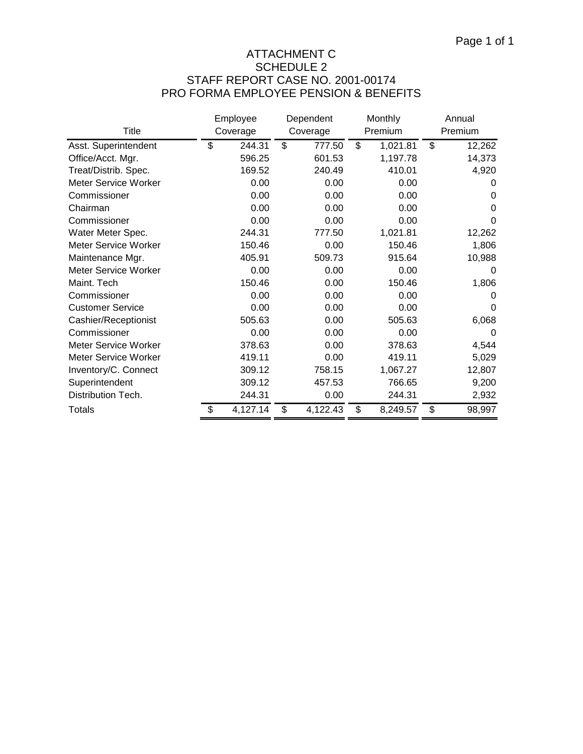# ATTACHMENT C SCHEDULE 2 STAFF REPORT CASE NO. 2001-00174 PRO FORMA EMPLOYEE PENSION & BENEFITS

|                             | Employee |          | Dependent |          | Monthly        | Annual       |
|-----------------------------|----------|----------|-----------|----------|----------------|--------------|
| Title                       |          | Coverage |           | Coverage | Premium        | Premium      |
| Asst. Superintendent        | \$       | 244.31   | \$        | 777.50   | \$<br>1,021.81 | \$<br>12,262 |
| Office/Acct. Mgr.           |          | 596.25   |           | 601.53   | 1,197.78       | 14,373       |
| Treat/Distrib. Spec.        |          | 169.52   |           | 240.49   | 410.01         | 4,920        |
| Meter Service Worker        |          | 0.00     |           | 0.00     | 0.00           | $\Omega$     |
| Commissioner                |          | 0.00     |           | 0.00     | 0.00           | 0            |
| Chairman                    |          | 0.00     |           | 0.00     | 0.00           | 0            |
| Commissioner                |          | 0.00     |           | 0.00     | 0.00           | $\Omega$     |
| Water Meter Spec.           |          | 244.31   |           | 777.50   | 1,021.81       | 12,262       |
| <b>Meter Service Worker</b> |          | 150.46   |           | 0.00     | 150.46         | 1,806        |
| Maintenance Mgr.            |          | 405.91   |           | 509.73   | 915.64         | 10,988       |
| Meter Service Worker        |          | 0.00     |           | 0.00     | 0.00           | $\Omega$     |
| Maint. Tech                 |          | 150.46   |           | 0.00     | 150.46         | 1,806        |
| Commissioner                |          | 0.00     |           | 0.00     | 0.00           | 0            |
| <b>Customer Service</b>     |          | 0.00     |           | 0.00     | 0.00           | 0            |
| Cashier/Receptionist        |          | 505.63   |           | 0.00     | 505.63         | 6,068        |
| Commissioner                |          | 0.00     |           | 0.00     | 0.00           | 0            |
| Meter Service Worker        |          | 378.63   |           | 0.00     | 378.63         | 4,544        |
| Meter Service Worker        |          | 419.11   |           | 0.00     | 419.11         | 5,029        |
| Inventory/C. Connect        |          | 309.12   |           | 758.15   | 1,067.27       | 12,807       |
| Superintendent              |          | 309.12   |           | 457.53   | 766.65         | 9,200        |
| Distribution Tech.          |          | 244.31   |           | 0.00     | 244.31         | 2,932        |
| <b>Totals</b>               | \$       | 4,127.14 | \$        | 4,122.43 | \$<br>8,249.57 | \$<br>98,997 |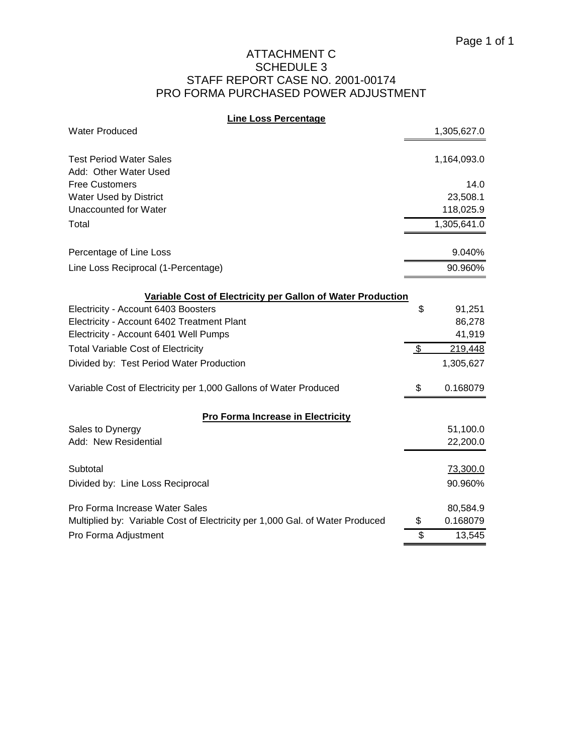## ATTACHMENT C SCHEDULE 3 STAFF REPORT CASE NO. 2001-00174 PRO FORMA PURCHASED POWER ADJUSTMENT

#### **Line Loss Percentage**

| <b>Water Produced</b>                                                        | 1,305,627.0    |
|------------------------------------------------------------------------------|----------------|
| <b>Test Period Water Sales</b>                                               | 1,164,093.0    |
| Add: Other Water Used                                                        |                |
| <b>Free Customers</b>                                                        | 14.0           |
| Water Used by District                                                       | 23,508.1       |
| Unaccounted for Water                                                        | 118,025.9      |
| Total                                                                        | 1,305,641.0    |
| Percentage of Line Loss                                                      | 9.040%         |
| Line Loss Reciprocal (1-Percentage)                                          | 90.960%        |
| Variable Cost of Electricity per Gallon of Water Production                  |                |
| Electricity - Account 6403 Boosters                                          | \$<br>91,251   |
| Electricity - Account 6402 Treatment Plant                                   | 86,278         |
| Electricity - Account 6401 Well Pumps                                        | 41,919         |
| <b>Total Variable Cost of Electricity</b>                                    | \$<br>219,448  |
| Divided by: Test Period Water Production                                     | 1,305,627      |
| Variable Cost of Electricity per 1,000 Gallons of Water Produced             | \$<br>0.168079 |
| <b>Pro Forma Increase in Electricity</b>                                     |                |
| Sales to Dynergy                                                             | 51,100.0       |
| Add: New Residential                                                         | 22,200.0       |
| Subtotal                                                                     | 73,300.0       |
| Divided by: Line Loss Reciprocal                                             | 90.960%        |
| Pro Forma Increase Water Sales                                               | 80,584.9       |
| Multiplied by: Variable Cost of Electricity per 1,000 Gal. of Water Produced | \$<br>0.168079 |
| Pro Forma Adjustment                                                         | \$<br>13,545   |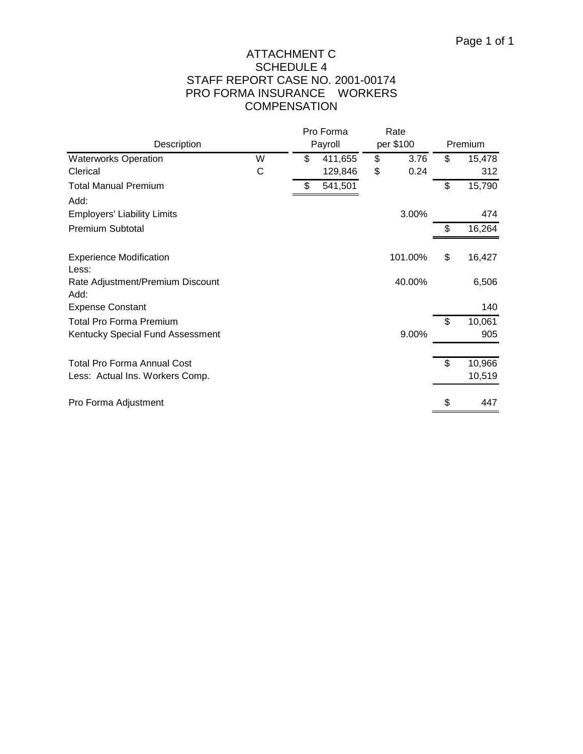# ATTACHMENT C SCHEDULE 4 STAFF REPORT CASE NO. 2001-00174 PRO FORMA INSURANCE WORKERS **COMPENSATION**

|                                          |   |         | Pro Forma |           | Rate    |              |
|------------------------------------------|---|---------|-----------|-----------|---------|--------------|
| Description                              |   | Payroll |           | per \$100 |         | Premium      |
| <b>Waterworks Operation</b>              | W | \$      | 411,655   | \$        | 3.76    | \$<br>15,478 |
| Clerical                                 | С |         | 129,846   | \$        | 0.24    | 312          |
| <b>Total Manual Premium</b>              |   | \$      | 541,501   |           |         | \$<br>15,790 |
| Add:                                     |   |         |           |           |         |              |
| <b>Employers' Liability Limits</b>       |   |         |           |           | 3.00%   | 474          |
| <b>Premium Subtotal</b>                  |   |         |           |           |         | \$<br>16,264 |
| <b>Experience Modification</b><br>Less:  |   |         |           |           | 101.00% | \$<br>16,427 |
| Rate Adjustment/Premium Discount<br>Add: |   |         |           |           | 40.00%  | 6,506        |
| <b>Expense Constant</b>                  |   |         |           |           |         | 140          |
| <b>Total Pro Forma Premium</b>           |   |         |           |           |         | \$<br>10,061 |
| Kentucky Special Fund Assessment         |   |         |           |           | 9.00%   | 905          |
| <b>Total Pro Forma Annual Cost</b>       |   |         |           |           |         | \$<br>10,966 |
| Less: Actual Ins. Workers Comp.          |   |         |           |           |         | 10,519       |
| Pro Forma Adjustment                     |   |         |           |           |         | \$<br>447    |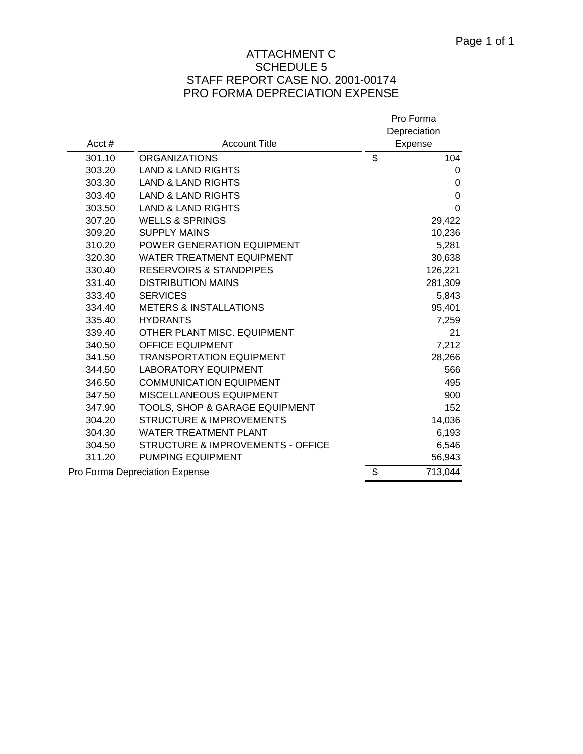## ATTACHMENT C SCHEDULE 5 STAFF REPORT CASE NO. 2001-00174 PRO FORMA DEPRECIATION EXPENSE

| Acct $#$ | <b>Account Title</b>                         | Pro Forma<br>Depreciation<br>Expense |
|----------|----------------------------------------------|--------------------------------------|
| 301.10   | <b>ORGANIZATIONS</b>                         | \$<br>104                            |
| 303.20   | <b>LAND &amp; LAND RIGHTS</b>                | 0                                    |
| 303.30   | <b>LAND &amp; LAND RIGHTS</b>                | 0                                    |
| 303.40   | <b>LAND &amp; LAND RIGHTS</b>                | 0                                    |
| 303.50   | <b>LAND &amp; LAND RIGHTS</b>                | 0                                    |
| 307.20   | <b>WELLS &amp; SPRINGS</b>                   | 29,422                               |
| 309.20   | <b>SUPPLY MAINS</b>                          | 10,236                               |
| 310.20   | POWER GENERATION EQUIPMENT                   | 5,281                                |
| 320.30   | <b>WATER TREATMENT EQUIPMENT</b>             | 30,638                               |
| 330.40   | <b>RESERVOIRS &amp; STANDPIPES</b>           | 126,221                              |
| 331.40   | <b>DISTRIBUTION MAINS</b>                    | 281,309                              |
| 333.40   | <b>SERVICES</b>                              | 5,843                                |
| 334.40   | <b>METERS &amp; INSTALLATIONS</b>            | 95,401                               |
| 335.40   | <b>HYDRANTS</b>                              | 7,259                                |
| 339.40   | OTHER PLANT MISC. EQUIPMENT                  | 21                                   |
| 340.50   | <b>OFFICE EQUIPMENT</b>                      | 7,212                                |
| 341.50   | TRANSPORTATION EQUIPMENT                     | 28,266                               |
| 344.50   | <b>LABORATORY EQUIPMENT</b>                  | 566                                  |
| 346.50   | <b>COMMUNICATION EQUIPMENT</b>               | 495                                  |
| 347.50   | MISCELLANEOUS EQUIPMENT                      | 900                                  |
| 347.90   | TOOLS, SHOP & GARAGE EQUIPMENT               | 152                                  |
| 304.20   | <b>STRUCTURE &amp; IMPROVEMENTS</b>          | 14,036                               |
| 304.30   | <b>WATER TREATMENT PLANT</b>                 | 6,193                                |
| 304.50   | <b>STRUCTURE &amp; IMPROVEMENTS - OFFICE</b> | 6,546                                |
| 311.20   | <b>PUMPING EQUIPMENT</b>                     | 56,943                               |
|          | Pro Forma Depreciation Expense               | \$<br>713,044                        |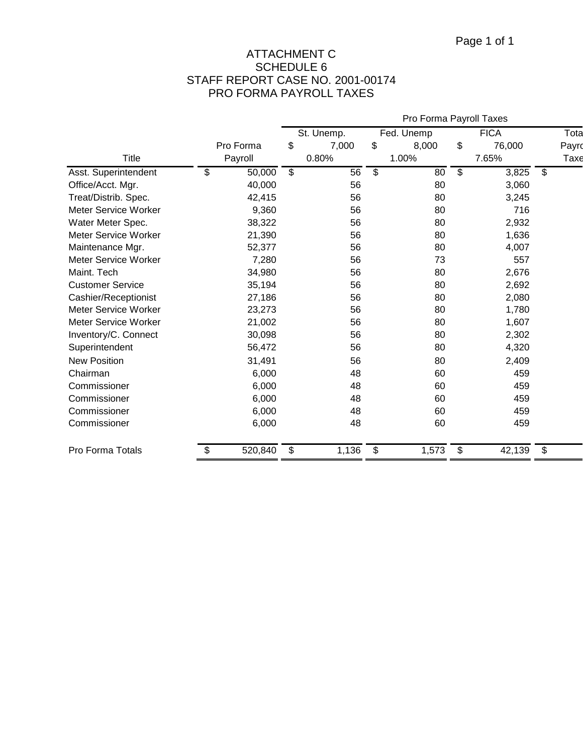## ATTACHMENT C SCHEDULE 6 STAFF REPORT CASE NO. 2001-00174 PRO FORMA PAYROLL TAXES

|                         |               | Pro Forma Payroll Taxes |                          |               |       |             |        |       |
|-------------------------|---------------|-------------------------|--------------------------|---------------|-------|-------------|--------|-------|
|                         |               |                         | St. Unemp.<br>Fed. Unemp |               |       | <b>FICA</b> | Tota   |       |
|                         | Pro Forma     | \$                      | 7,000                    | \$            | 8,000 | \$          | 76,000 | Payro |
| <b>Title</b>            | Payroll       |                         | 0.80%                    |               | 1.00% |             | 7.65%  | Taxe  |
| Asst. Superintendent    | \$<br>50,000  | \$                      | 56                       | $\mathsf{\$}$ | 80    | \$          | 3,825  | \$    |
| Office/Acct. Mgr.       | 40,000        |                         | 56                       |               | 80    |             | 3,060  |       |
| Treat/Distrib. Spec.    | 42,415        |                         | 56                       |               | 80    |             | 3,245  |       |
| Meter Service Worker    | 9,360         |                         | 56                       |               | 80    |             | 716    |       |
| Water Meter Spec.       | 38,322        |                         | 56                       |               | 80    |             | 2,932  |       |
| Meter Service Worker    | 21,390        |                         | 56                       |               | 80    |             | 1,636  |       |
| Maintenance Mgr.        | 52,377        |                         | 56                       |               | 80    |             | 4,007  |       |
| Meter Service Worker    | 7,280         |                         | 56                       |               | 73    |             | 557    |       |
| Maint. Tech             | 34,980        |                         | 56                       |               | 80    |             | 2,676  |       |
| <b>Customer Service</b> | 35,194        |                         | 56                       |               | 80    |             | 2,692  |       |
| Cashier/Receptionist    | 27,186        |                         | 56                       |               | 80    |             | 2,080  |       |
| Meter Service Worker    | 23,273        |                         | 56                       |               | 80    |             | 1,780  |       |
| Meter Service Worker    | 21,002        |                         | 56                       |               | 80    |             | 1,607  |       |
| Inventory/C. Connect    | 30,098        |                         | 56                       |               | 80    |             | 2,302  |       |
| Superintendent          | 56,472        |                         | 56                       |               | 80    |             | 4,320  |       |
| <b>New Position</b>     | 31,491        |                         | 56                       |               | 80    |             | 2,409  |       |
| Chairman                | 6,000         |                         | 48                       |               | 60    |             | 459    |       |
| Commissioner            | 6,000         |                         | 48                       |               | 60    |             | 459    |       |
| Commissioner            | 6,000         |                         | 48                       |               | 60    |             | 459    |       |
| Commissioner            | 6,000         |                         | 48                       |               | 60    |             | 459    |       |
| Commissioner            | 6,000         |                         | 48                       |               | 60    |             | 459    |       |
| Pro Forma Totals        | \$<br>520,840 | \$                      | 1,136                    | \$            | 1,573 | \$          | 42,139 | \$    |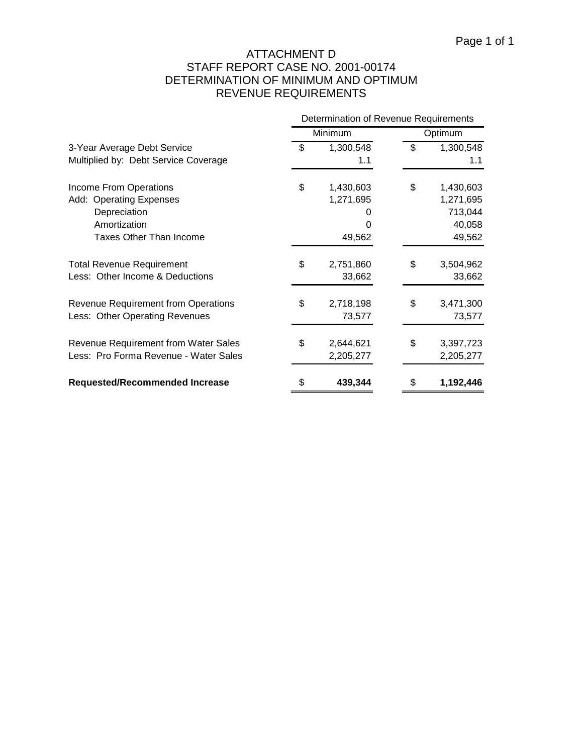# ATTACHMENT D STAFF REPORT CASE NO. 2001-00174 DETERMINATION OF MINIMUM AND OPTIMUM REVENUE REQUIREMENTS

|                                             |                 |         | Determination of Revenue Requirements |  |  |  |
|---------------------------------------------|-----------------|---------|---------------------------------------|--|--|--|
|                                             | Minimum         | Optimum |                                       |  |  |  |
| 3-Year Average Debt Service                 | \$<br>1,300,548 | \$      | 1,300,548                             |  |  |  |
| Multiplied by: Debt Service Coverage        | 1.1             |         | 1.1                                   |  |  |  |
| Income From Operations                      | \$<br>1,430,603 | \$      | 1,430,603                             |  |  |  |
| Add: Operating Expenses                     | 1,271,695       |         | 1,271,695                             |  |  |  |
| Depreciation                                |                 |         | 713,044                               |  |  |  |
| Amortization                                |                 |         | 40,058                                |  |  |  |
| <b>Taxes Other Than Income</b>              | 49,562          |         | 49,562                                |  |  |  |
| <b>Total Revenue Requirement</b>            | \$<br>2,751,860 | \$      | 3,504,962                             |  |  |  |
| Less: Other Income & Deductions             | 33,662          |         | 33,662                                |  |  |  |
| <b>Revenue Requirement from Operations</b>  | \$<br>2,718,198 | \$      | 3,471,300                             |  |  |  |
| Less: Other Operating Revenues              | 73,577          |         | 73,577                                |  |  |  |
| <b>Revenue Requirement from Water Sales</b> | \$<br>2,644,621 | \$      | 3,397,723                             |  |  |  |
| Less: Pro Forma Revenue - Water Sales       | 2,205,277       |         | 2,205,277                             |  |  |  |
| <b>Requested/Recommended Increase</b>       | \$<br>439,344   | \$      | 1,192,446                             |  |  |  |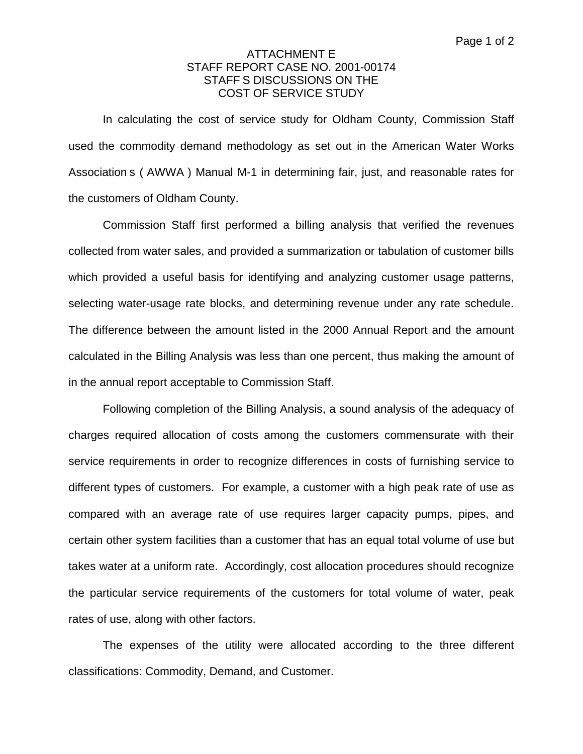## ATTACHMENT E STAFF REPORT CASE NO. 2001-00174 STAFF S DISCUSSIONS ON THE COST OF SERVICE STUDY

In calculating the cost of service study for Oldham County, Commission Staff used the commodity demand methodology as set out in the American Water Works Association s ( AWWA ) Manual M-1 in determining fair, just, and reasonable rates for the customers of Oldham County.

Commission Staff first performed a billing analysis that verified the revenues collected from water sales, and provided a summarization or tabulation of customer bills which provided a useful basis for identifying and analyzing customer usage patterns, selecting water-usage rate blocks, and determining revenue under any rate schedule. The difference between the amount listed in the 2000 Annual Report and the amount calculated in the Billing Analysis was less than one percent, thus making the amount of in the annual report acceptable to Commission Staff.

Following completion of the Billing Analysis, a sound analysis of the adequacy of charges required allocation of costs among the customers commensurate with their service requirements in order to recognize differences in costs of furnishing service to different types of customers. For example, a customer with a high peak rate of use as compared with an average rate of use requires larger capacity pumps, pipes, and certain other system facilities than a customer that has an equal total volume of use but takes water at a uniform rate. Accordingly, cost allocation procedures should recognize the particular service requirements of the customers for total volume of water, peak rates of use, along with other factors.

The expenses of the utility were allocated according to the three different classifications: Commodity, Demand, and Customer.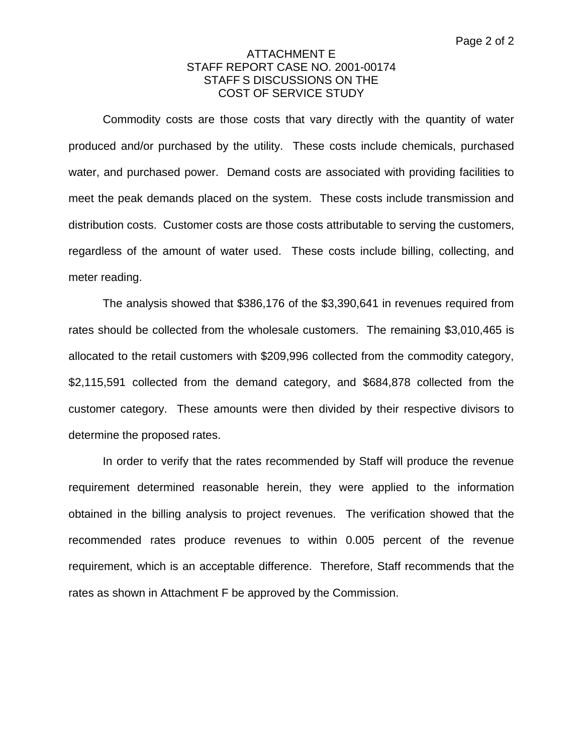#### ATTACHMENT E STAFF REPORT CASE NO. 2001-00174 STAFF S DISCUSSIONS ON THE COST OF SERVICE STUDY

Commodity costs are those costs that vary directly with the quantity of water produced and/or purchased by the utility. These costs include chemicals, purchased water, and purchased power. Demand costs are associated with providing facilities to meet the peak demands placed on the system. These costs include transmission and distribution costs. Customer costs are those costs attributable to serving the customers, regardless of the amount of water used. These costs include billing, collecting, and meter reading.

The analysis showed that \$386,176 of the \$3,390,641 in revenues required from rates should be collected from the wholesale customers. The remaining \$3,010,465 is allocated to the retail customers with \$209,996 collected from the commodity category, \$2,115,591 collected from the demand category, and \$684,878 collected from the customer category. These amounts were then divided by their respective divisors to determine the proposed rates.

In order to verify that the rates recommended by Staff will produce the revenue requirement determined reasonable herein, they were applied to the information obtained in the billing analysis to project revenues. The verification showed that the recommended rates produce revenues to within 0.005 percent of the revenue requirement, which is an acceptable difference. Therefore, Staff recommends that the rates as shown in Attachment F be approved by the Commission.